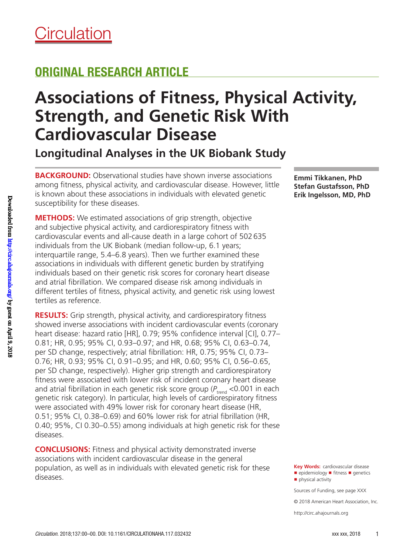# ORIGINAL RESEARCH ARTICLE

# **Associations of Fitness, Physical Activity, Strength, and Genetic Risk With Cardiovascular Disease**

**Longitudinal Analyses in the UK Biobank Study**

**BACKGROUND:** Observational studies have shown inverse associations among fitness, physical activity, and cardiovascular disease. However, little is known about these associations in individuals with elevated genetic susceptibility for these diseases.

**METHODS:** We estimated associations of grip strength, objective and subjective physical activity, and cardiorespiratory fitness with cardiovascular events and all-cause death in a large cohort of 502635 individuals from the UK Biobank (median follow-up, 6.1 years; interquartile range, 5.4–6.8 years). Then we further examined these associations in individuals with different genetic burden by stratifying individuals based on their genetic risk scores for coronary heart disease and atrial fibrillation. We compared disease risk among individuals in different tertiles of fitness, physical activity, and genetic risk using lowest tertiles as reference.

**RESULTS:** Grip strength, physical activity, and cardiorespiratory fitness showed inverse associations with incident cardiovascular events (coronary heart disease: hazard ratio [HR], 0.79; 95% confidence interval [CI], 0.77– 0.81; HR, 0.95; 95% CI, 0.93–0.97; and HR, 0.68; 95% CI, 0.63–0.74, per SD change, respectively; atrial fibrillation: HR, 0.75; 95% CI, 0.73– 0.76; HR, 0.93; 95% CI, 0.91–0.95; and HR, 0.60; 95% CI, 0.56–0.65, per SD change, respectively). Higher grip strength and cardiorespiratory fitness were associated with lower risk of incident coronary heart disease and atrial fibrillation in each genetic risk score group  $(P_{\text{trend}} < 0.001$  in each genetic risk category). In particular, high levels of cardiorespiratory fitness were associated with 49% lower risk for coronary heart disease (HR, 0.51; 95% CI, 0.38–0.69) and 60% lower risk for atrial fibrillation (HR, 0.40; 95%, CI 0.30–0.55) among individuals at high genetic risk for these diseases.

**CONCLUSIONS:** Fitness and physical activity demonstrated inverse associations with incident cardiovascular disease in the general population, as well as in individuals with elevated genetic risk for these diseases.

**Emmi Tikkanen, PhD Stefan Gustafsson, PhD Erik Ingelsson, MD, PhD**

**Key Words:** cardiovascular disease ■ epidemiology ■ fitness ■ genetics ■ physical activity

Sources of Funding, see page XXX

© 2018 American Heart Association, Inc.

http://circ.ahajournals.org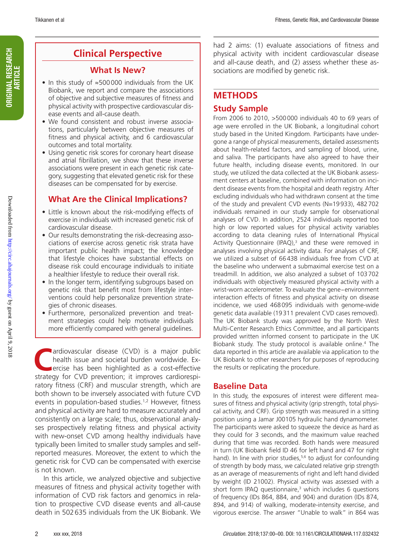# **Clinical Perspective**

# **What Is New?**

- In this study of ≈500000 individuals from the UK Biobank, we report and compare the associations of objective and subjective measures of fitness and physical activity with prospective cardiovascular disease events and all-cause death.
- We found consistent and robust inverse associations, particularly between objective measures of fitness and physical activity, and 6 cardiovascular outcomes and total mortality.
- Using genetic risk scores for coronary heart disease and atrial fibrillation, we show that these inverse associations were present in each genetic risk category, suggesting that elevated genetic risk for these diseases can be compensated for by exercise.

# **What Are the Clinical Implications?**

- Little is known about the risk-modifying effects of exercise in individuals with increased genetic risk of cardiovascular disease.
- Our results demonstrating the risk-decreasing associations of exercise across genetic risk strata have important public health impact; the knowledge that lifestyle choices have substantial effects on disease risk could encourage individuals to initiate a healthier lifestyle to reduce their overall risk.
- In the longer term, identifying subgroups based on genetic risk that benefit most from lifestyle interventions could help personalize prevention strategies of chronic diseases.
- Furthermore, personalized prevention and treatment strategies could help motivate individuals more efficiently compared with general guidelines.

ardiovascular disease (CVD) is a major public<br>
health issue and societal burden worldwide. Ex-<br>
ercise has been highlighted as a cost-effective<br>
stratogy for CVD provention: it improves cardiorespihealth issue and societal burden worldwide. Exstrategy for CVD prevention; it improves cardiorespiratory fitness (CRF) and muscular strength, which are both shown to be inversely associated with future CVD events in population-based studies.<sup>1,2</sup> However, fitness and physical activity are hard to measure accurately and consistently on a large scale; thus, observational analyses prospectively relating fitness and physical activity with new-onset CVD among healthy individuals have typically been limited to smaller study samples and selfreported measures. Moreover, the extent to which the genetic risk for CVD can be compensated with exercise is not known.

In this article, we analyzed objective and subjective measures of fitness and physical activity together with information of CVD risk factors and genomics in relation to prospective CVD disease events and all-cause death in 502635 individuals from the UK Biobank. We

had 2 aims: (1) evaluate associations of fitness and physical activity with incident cardiovascular disease and all-cause death, and (2) assess whether these associations are modified by genetic risk.

# **METHODS**

# **Study Sample**

From 2006 to 2010, >500000 individuals 40 to 69 years of age were enrolled in the UK Biobank, a longitudinal cohort study based in the United Kingdom. Participants have undergone a range of physical measurements, detailed assessments about health-related factors, and sampling of blood, urine, and saliva. The participants have also agreed to have their future health, including disease events, monitored. In our study, we utilized the data collected at the UK Biobank assessment centers at baseline, combined with information on incident disease events from the hospital and death registry. After excluding individuals who had withdrawn consent at the time of the study and prevalent CVD events (N=19933), 482702 individuals remained in our study sample for observational analyses of CVD. In addition, 2524 individuals reported too high or low reported values for physical activity variables according to data cleaning rules of International Physical Activity Questionnaire (IPAQ),<sup>3</sup> and these were removed in analyses involving physical activity data. For analyses of CRF, we utilized a subset of 66438 individuals free from CVD at the baseline who underwent a submaximal exercise test on a treadmill. In addition, we also analyzed a subset of 103702 individuals with objectively measured physical activity with a wrist-worn accelerometer. To evaluate the gene-environment interaction effects of fitness and physical activity on disease incidence, we used 468095 individuals with genome-wide genetic data available (19311 prevalent CVD cases removed). The UK Biobank study was approved by the North West Multi-Center Research Ethics Committee, and all participants provided written informed consent to participate in the UK Biobank study. The study protocol is available online.4 The data reported in this article are available via application to the UK Biobank to other researchers for purposes of reproducing the results or replicating the procedure.

# **Baseline Data**

In this study, the exposures of interest were different measures of fitness and physical activity (grip strength, total physical activity, and CRF). Grip strength was measured in a sitting position using a Jamar J00105 hydraulic hand dynamometer. The participants were asked to squeeze the device as hard as they could for 3 seconds, and the maximum value reached during that time was recorded. Both hands were measured in turn (UK Biobank field ID 46 for left hand and 47 for right hand). In line with prior studies,<sup>5,6</sup> to adjust for confounding of strength by body mass, we calculated relative grip strength as an average of measurements of right and left hand divided by weight (ID 21002). Physical activity was assessed with a short form IPAQ questionnaire, $3$  which includes 6 questions of frequency (IDs 864, 884, and 904) and duration (IDs 874, 894, and 914) of walking, moderate-intensity exercise, and vigorous exercise. The answer "Unable to walk" in 864 was

ORIGINAL RESEARCH ORIGINAL RESEARCH<br>Article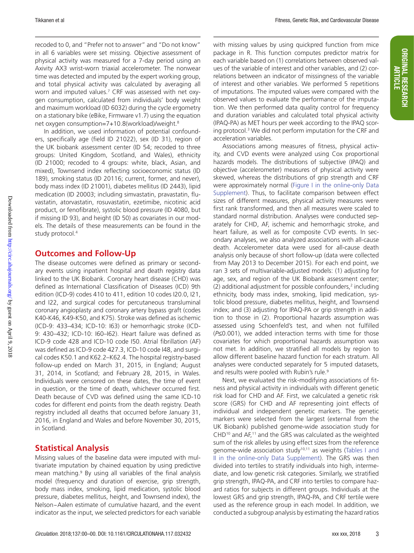recoded to 0, and "Prefer not to answer" and "Do not know" in all 6 variables were set missing. Objective assessment of physical activity was measured for a 7-day period using an Axivity AX3 wrist-worn triaxial accelerometer. The nonwear time was detected and imputed by the expert working group, and total physical activity was calculated by averaging all worn and imputed values.7 CRF was assessed with net oxygen consumption, calculated from individuals' body weight and maximum workload (ID 6032) during the cycle ergometry on a stationary bike (eBike, Firmware v1.7) using the equation net oxygen consumption=7+10.8(workload)/weight.8

In addition, we used information of potential confounders, specifically age (field ID 21022), sex (ID 31), region of the UK biobank assessment center (ID 54; recoded to three groups: United Kingdom, Scotland, and Wales), ethnicity (ID 21000; recoded to 4 groups: white, black, Asian, and mixed), Townsend index reflecting socioeconomic status (ID 189), smoking status (ID 20116; current, former, and never), body mass index (ID 21001), diabetes mellitus (ID 2443), lipid medication (ID 20003; including simvastatin, pravastatin, fluvastatin, atorvastatin, rosuvastatin, ezetimibe, nicotinic acid product, or fenofibrate), systolic blood pressure (ID 4080, but if missing ID 93), and height (ID 50) as covariates in our models. The details of these measurements can be found in the study protocol.<sup>4</sup>

# **Outcomes and Follow-Up**

The disease outcomes were defined as primary or secondary events using inpatient hospital and death registry data linked to the UK Biobank. Coronary heart disease (CHD) was defined as International Classification of Diseases (ICD) 9th edition (ICD-9) codes 410 to 411, edition 10 codes I20.0, I21, and I22, and surgical codes for percutaneous transluminal coronary angioplasty and coronary artery bypass graft (codes K40-K46, K49-K50, and K75). Stroke was defined as ischemic (ICD-9: 433–434; ICD-10: I63) or hemorrhagic stroke (ICD-9: 430–432; ICD-10: I60–I62). Heart failure was defined as ICD-9 code 428 and ICD-10 code I50. Atrial fibrillation (AF) was defined as ICD-9 code 427.3, ICD-10 code I48, and surgical codes K50.1 and K62.2–K62.4. The hospital registry-based follow-up ended on March 31, 2015, in England; August 31, 2014, in Scotland; and February 28, 2015, in Wales. Individuals were censored on these dates, the time of event in question, or the time of death, whichever occurred first. Death because of CVD was defined using the same ICD-10 codes for different end points from the death registry. Death registry included all deaths that occurred before January 31, 2016, in England and Wales and before November 30, 2015, in Scotland.

# **Statistical Analysis**

Missing values of the baseline data were imputed with multivariate imputation by chained equation by using predictive mean matching.<sup>9</sup> By using all variables of the final analysis model (frequency and duration of exercise, grip strength, body mass index, smoking, lipid medication, systolic blood pressure, diabetes mellitus, height, and Townsend index), the Nelson–Aalen estimate of cumulative hazard, and the event indicator as the input, we selected predictors for each variable

with missing values by using quickpred function from mice package in R. This function computes predictor matrix for each variable based on (1) correlations between observed values of the variable of interest and other variables, and (2) correlations between an indicator of missingness of the variable of interest and other variables. We performed 5 repetitions of imputations. The imputed values were compared with the observed values to evaluate the performance of the imputation. We then performed data quality control for frequency and duration variables and calculated total physical activity (IPAQ-PA) as MET hours per week according to the IPAQ scoring protocol.<sup>3</sup> We did not perform imputation for the CRF and acceleration variables.

Associations among measures of fitness, physical activity, and CVD events were analyzed using Cox proportional hazards models. The distributions of subjective (IPAQ) and objective (accelerometer) measures of physical activity were skewed, whereas the distributions of grip strength and CRF were approximately normal (Figure I in the online-only Data Supplement). Thus, to facilitate comparison between effect sizes of different measures, physical activity measures were first rank transformed, and then all measures were scaled to standard normal distribution. Analyses were conducted separately for CHD, AF, ischemic and hemorrhagic stroke, and heart failure, as well as for composite CVD events. In secondary analyses, we also analyzed associations with all-cause death. Accelerometer data were used for all-cause death analysis only because of short follow-up (data were collected from May 2013 to December 2015). For each end point, we ran 3 sets of multivariable-adjusted models: (1) adjusting for age, sex, and region of the UK Biobank assessment center; (2) additional adjustment for possible confounders,<sup>2</sup> including ethnicity, body mass index, smoking, lipid medication, systolic blood pressure, diabetes mellitus, height, and Townsend index; and (3) adjusting for IPAQ-PA or grip strength in addition to those in (2). Proportional hazards assumption was assessed using Schoenfeld's test, and when not fulfilled (*P*≤0.001), we added interaction terms with time for those covariates for which proportional hazards assumption was not met. In addition, we stratified all models by region to allow different baseline hazard function for each stratum. All analyses were conducted separately for 5 imputed datasets, and results were pooled with Rubin's rule.<sup>9</sup>

Next, we evaluated the risk-modifying associations of fitness and physical activity in individuals with different genetic risk load for CHD and AF. First, we calculated a genetic risk score (GRS) for CHD and AF representing joint effects of individual and independent genetic markers. The genetic markers were selected from the largest (external from the UK Biobank) published genome-wide association study for  $CHD<sup>10</sup>$  and AF,<sup>11</sup> and the GRS was calculated as the weighted sum of the risk alleles by using effect sizes from the reference genome-wide association study<sup>10,11</sup> as weights (Tables I and II in the online-only Data Supplement). The GRS was then divided into tertiles to stratify individuals into high, intermediate, and low genetic risk categories. Similarly, we stratified grip strength, IPAQ-PA, and CRF into tertiles to compare hazard ratios for subjects in different groups. Individuals at the lowest GRS and grip strength, IPAQ-PA, and CRF tertile were used as the reference group in each model. In addition, we conducted a subgroup analysis by estimating the hazard ratios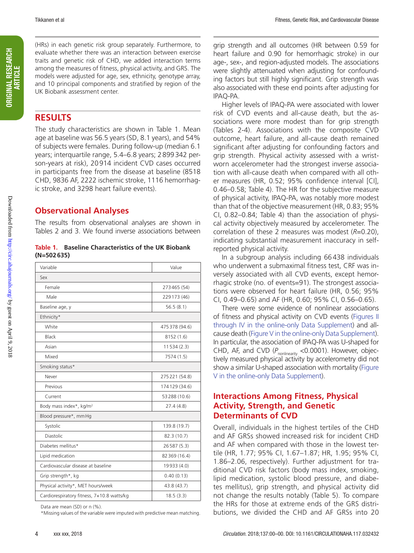(HRs) in each genetic risk group separately. Furthermore, to evaluate whether there was an interaction between exercise traits and genetic risk of CHD, we added interaction terms among the measures of fitness, physical activity, and GRS. The models were adjusted for age, sex, ethnicity, genotype array, and 10 principal components and stratified by region of the UK Biobank assessment center.

# **RESULTS**

The study characteristics are shown in Table 1. Mean age at baseline was 56.5 years (SD, 8.1 years), and 54% of subjects were females. During follow-up (median 6.1 years; interquartile range, 5.4–6.8 years; 2899342 person-years at risk), 20914 incident CVD cases occurred in participants free from the disease at baseline (8518 CHD, 9836 AF, 2222 ischemic stroke, 1116 hemorrhagic stroke, and 3298 heart failure events).

# **Observational Analyses**

The results from observational analyses are shown in Tables 2 and 3. We found inverse associations between

**Table 1. Baseline Characteristics of the UK Biobank (N=502635)**

| Variable                                   | Value         |
|--------------------------------------------|---------------|
| Sex                                        |               |
| Female                                     | 273465 (54)   |
| Male                                       | 229 173 (46)  |
| Baseline age, y                            | 56.5(8.1)     |
| Ethnicity*                                 |               |
| White                                      | 475378 (94.6) |
| <b>Black</b>                               | 8152 (1.6)    |
| Asian                                      | 11534(2.3)    |
| Mixed                                      | 7574 (1.5)    |
| Smoking status*                            |               |
| Never                                      | 275221 (54.8) |
| Previous                                   | 174129 (34.6) |
| Current                                    | 53288 (10.6)  |
| Body mass index*, kg/m <sup>2</sup>        | 27.4(4.8)     |
| Blood pressure*, mm Hg                     |               |
| Systolic                                   | 139.8 (19.7)  |
| <b>Diastolic</b>                           | 82.3 (10.7)   |
| Diabetes mellitus*                         | 26587 (5.3)   |
| Lipid medication                           | 82 369 (16.4) |
| Cardiovascular disease at baseline         | 19933 (4.0)   |
| Grip strength*, kg                         | 0.40(0.13)    |
| Physical activity*, MET hours/week         | 43.8 (43.7)   |
| Cardiorespiratory fitness, 7+10.8 watts/kg | 18.5(3.3)     |

Data are mean (SD) or n (%).

\*Missing values of the variable were imputed with predictive mean matching.

grip strength and all outcomes (HR between 0.59 for heart failure and 0.90 for hemorrhagic stroke) in our age-, sex-, and region-adjusted models. The associations were slightly attenuated when adjusting for confounding factors but still highly significant. Grip strength was also associated with these end points after adjusting for IPAQ-PA.

Higher levels of IPAQ-PA were associated with lower risk of CVD events and all-cause death, but the associations were more modest than for grip strength (Tables 2-4). Associations with the composite CVD outcome, heart failure, and all-cause death remained significant after adjusting for confounding factors and grip strength. Physical activity assessed with a wristworn accelerometer had the strongest inverse association with all-cause death when compared with all other measures (HR, 0.52; 95% confidence interval [CI], 0.46–0.58; Table 4). The HR for the subjective measure of physical activity, IPAQ-PA, was notably more modest than that of the objective measurement (HR, 0.83; 95% CI, 0.82–0.84; Table 4) than the association of physical activity objectively measured by accelerometer. The correlation of these 2 measures was modest (*R*=0.20), indicating substantial measurement inaccuracy in selfreported physical activity.

In a subgroup analysis including 66438 individuals who underwent a submaximal fitness test, CRF was inversely associated with all CVD events, except hemorrhagic stroke (no. of events=91). The strongest associations were observed for heart failure (HR, 0.56; 95% CI, 0.49–0.65) and AF (HR, 0.60; 95% CI, 0.56–0.65).

There were some evidence of nonlinear associations of fitness and physical activity on CVD events (Figures II through IV in the online-only Data Supplement) and allcause death (Figure V in the online-only Data Supplement). In particular, the association of IPAQ-PA was U-shaped for CHD, AF, and CVD (P<sub>nonlinearity</sub> <0.0001). However, objectively measured physical activity by accelerometry did not show a similar U-shaped association with mortality (Figure V in the online-only Data Supplement).

# **Interactions Among Fitness, Physical Activity, Strength, and Genetic Determinants of CVD**

Overall, individuals in the highest tertiles of the CHD and AF GRSs showed increased risk for incident CHD and AF when compared with those in the lowest tertile (HR, 1.77; 95% CI, 1.67–1.87; HR, 1.95; 95% CI, 1.86–2.06, respectively). Further adjustment for traditional CVD risk factors (body mass index, smoking, lipid medication, systolic blood pressure, and diabetes mellitus), grip strength, and physical activity did not change the results notably (Table 5). To compare the HRs for those at extreme ends of the GRS distributions, we divided the CHD and AF GRSs into 20

Downloaded from http://circ.ahajournals.org/ by guest on April 9, 2018 Downloaded from <http://circ.ahajournals.org/> by guest on April 9, 2018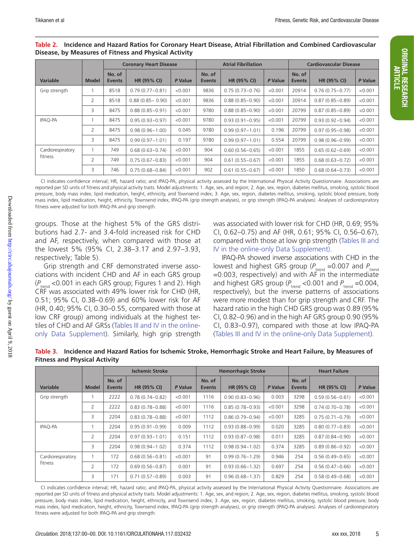ORIGINAL RESEARCH ARTICLE

|                   |              | <b>Coronary Heart Disease</b> |                     | <b>Atrial Fibrillation</b> |                         | <b>Cardiovascular Disease</b> |         |                         |                     |         |
|-------------------|--------------|-------------------------------|---------------------|----------------------------|-------------------------|-------------------------------|---------|-------------------------|---------------------|---------|
| <b>Variable</b>   | <b>Model</b> | No. of<br><b>Events</b>       | <b>HR (95% CI)</b>  | P Value                    | No. of<br><b>Events</b> | <b>HR (95% CI)</b>            | P Value | No. of<br><b>Events</b> | <b>HR (95% CI)</b>  | P Value |
| Grip strength     |              | 8518                          | $0.79(0.77 - 0.81)$ | < 0.001                    | 9836                    | $0.75(0.73 - 0.76)$           | < 0.001 | 20914                   | $0.76(0.75 - 0.77)$ | < 0.001 |
|                   | 2            | 8518                          | $0.88(0.85 - 0.90)$ | < 0.001                    | 9836                    | $0.88(0.85 - 0.90)$           | < 0.001 | 20914                   | $0.87(0.85 - 0.89)$ | < 0.001 |
|                   | 3            | 8475                          | $0.88(0.85 - 0.91)$ | < 0.001                    | 9780                    | $0.88(0.85 - 0.90)$           | < 0.001 | 20799                   | $0.87(0.85 - 0.89)$ | < 0.001 |
| <b>IPAO-PA</b>    |              | 8475                          | $0.95(0.93 - 0.97)$ | < 0.001                    | 9780                    | $0.93(0.91 - 0.95)$           | < 0.001 | 20799                   | $0.93(0.92 - 0.94)$ | < 0.001 |
|                   | 2            | 8475                          | $0.98(0.96 - 1.00)$ | 0.045                      | 9780                    | $0.99(0.97 - 1.01)$           | 0.196   | 20799                   | $0.97(0.95 - 0.98)$ | < 0.001 |
|                   | 3            | 8475                          | $0.99(0.97 - 1.01)$ | 0.197                      | 9780                    | $0.99(0.97 - 1.01)$           | 0.554   | 20799                   | $0.98(0.96 - 0.99)$ | < 0.001 |
| Cardiorespiratory |              | 749                           | $0.68(0.63 - 0.74)$ | < 0.001                    | 904                     | $0.60(0.56 - 0.65)$           | < 0.001 | 1855                    | $0.65(0.62 - 0.69)$ | < 0.001 |
| fitness           | 2            | 749                           | $0.75(0.67 - 0.83)$ | < 0.001                    | 904                     | $0.61(0.55 - 0.67)$           | < 0.001 | 1855                    | $0.68(0.63 - 0.72)$ | < 0.001 |
|                   | 3            | 746                           | $0.75(0.68 - 0.84)$ | < 0.001                    | 902                     | $0.61(0.55 - 0.67)$           | < 0.001 | 1850                    | $0.68(0.64 - 0.73)$ | < 0.001 |

#### **Table 2. Incidence and Hazard Ratios for Coronary Heart Disease, Atrial Fibrillation and Combined Cardiovascular Disease, by Measures of Fitness and Physical Activity**

CI indicates confidence interval; HR, hazard ratio; and IPAQ-PA, physical activity assessed by the International Physical Activity Questionnaire. Associations are reported per SD units of fitness and physical activity traits. Model adjustments: 1. Age, sex, and region; 2. Age, sex, region, diabetes mellitus, smoking, systolic blood pressure, body mass index, lipid medication, height, ethnicity, and Townsend index; 3. Age, sex, region, diabetes mellitus, smoking, systolic blood pressure, body mass index, lipid medication, height, ethnicity, Townsend index, IPAQ-PA (grip strength analyses), or grip strength (IPAQ-PA analyses). Analyses of cardiorespiratory fitness were adjusted for both IPAQ-PA and grip strength.

groups. Those at the highest 5% of the GRS distributions had 2.7- and 3.4-fold increased risk for CHD and AF, respectively, when compared with those at the lowest 5% (95% CI, 2.38–3.17 and 2.97–3.93, respectively; Table 5).

Grip strength and CRF demonstrated inverse associations with incident CHD and AF in each GRS group (P<sub>trend</sub> <0.001 in each GRS group; Figures 1 and 2). High CRF was associated with 49% lower risk for CHD (HR, 0.51; 95% CI, 0.38–0.69) and 60% lower risk for AF (HR, 0.40; 95% CI, 0.30–0.55, compared with those at low CRF group) among individuals at the highest tertiles of CHD and AF GRSs (Tables III and IV in the onlineonly Data Supplement). Similarly, high grip strength was associated with lower risk for CHD (HR, 0.69; 95% CI, 0.62–0.75) and AF (HR, 0.61; 95% CI, 0.56–0.67), compared with those at low grip strength (Tables III and IV in the online-only Data Supplement).

IPAQ-PA showed inverse associations with CHD in the lowest and highest GRS group ( $P_{\hbox{\scriptsize trend}}^{}$  =0.007 and  $P_{\hbox{\scriptsize trend}}^{}$ =0.003, respectively) and with AF in the intermediate and highest GRS group ( $P_{\text{trend}}$  <0.001 and  $P_{\text{trend}}$  =0.004, respectively), but the inverse patterns of associations were more modest than for grip strength and CRF. The hazard ratio in the high CHD GRS group was 0.89 (95% CI, 0.82–0.96) and in the high AF GRS group 0.90 (95% CI, 0.83–0.97), compared with those at low IPAQ-PA (Tables III and IV in the online-only Data Supplement).

|                              |                | <b>Ischemic Stroke</b>  |                     | <b>Hemorrhagic Stroke</b> |                         |                     | <b>Heart Failure</b> |                         |                     |         |
|------------------------------|----------------|-------------------------|---------------------|---------------------------|-------------------------|---------------------|----------------------|-------------------------|---------------------|---------|
| <b>Variable</b>              | <b>Model</b>   | No. of<br><b>Events</b> | <b>HR (95% CI)</b>  | P Value                   | No. of<br><b>Events</b> | <b>HR (95% CI)</b>  | P Value              | No. of<br><b>Events</b> | <b>HR (95% CI)</b>  | P Value |
| Grip strength                |                | 2222                    | $0.78(0.74 - 0.82)$ | < 0.001                   | 1116                    | $0.90(0.83 - 0.96)$ | 0.003                | 3298                    | $0.59(0.56 - 0.61)$ | < 0.001 |
|                              | 2              | 2222                    | $0.83(0.78 - 0.88)$ | < 0.001                   | 1116                    | $0.85(0.78 - 0.93)$ | < 0.001              | 3298                    | $0.74(0.70 - 0.78)$ | < 0.001 |
|                              | 3              | 2204                    | $0.83(0.78 - 0.88)$ | < 0.001                   | 1112                    | $0.86(0.79 - 0.94)$ | < 0.001              | 3285                    | $0.75(0.71 - 0.79)$ | < 0.001 |
| IPAQ-PA                      |                | 2204                    | $0.95(0.91 - 0.99)$ | 0.009                     | 1112                    | $0.93(0.88 - 0.99)$ | 0.020                | 3285                    | $0.80(0.77 - 0.83)$ | < 0.001 |
|                              | 2              | 2204                    | $0.97(0.93 - 1.01)$ | 0.151                     | 1112                    | $0.93(0.87 - 0.98)$ | 0.011                | 3285                    | $0.87(0.84 - 0.90)$ | < 0.001 |
|                              | 3              | 2204                    | $0.98(0.94 - 1.02)$ | 0.374                     | 1112                    | $0.98(0.94 - 1.02)$ | 0.374                | 3285                    | $0.89(0.86 - 0.92)$ | < 0.001 |
| Cardiorespiratory<br>fitness |                | 172                     | $0.68(0.56 - 0.81)$ | < 0.001                   | 91                      | $0.99(0.76 - 1.29)$ | 0.946                | 254                     | $0.56(0.49 - 0.65)$ | < 0.001 |
|                              | $\overline{2}$ | 172                     | $0.69(0.56 - 0.87)$ | 0.001                     | 91                      | $0.93(0.66 - 1.32)$ | 0.697                | 254                     | $0.56(0.47 - 0.66)$ | < 0.001 |
|                              | 3              | 171                     | $0.71(0.57 - 0.89)$ | 0.003                     | 91                      | $0.96(0.68 - 1.37)$ | 0.829                | 254                     | $0.58(0.49 - 0.68)$ | < 0.001 |

**Table 3. Incidence and Hazard Ratios for Ischemic Stroke, Hemorrhagic Stroke and Heart Failure, by Measures of Fitness and Physical Activity**

CI indicates confidence interval; HR, hazard ratio; and IPAQ-PA, physical activity assessed by the International Physical Activity Questionnaire. Associations are reported per SD units of fitness and physical activity traits. Model adjustments: 1. Age, sex, and region; 2. Age, sex, region, diabetes mellitus, smoking, systolic blood pressure, body mass index, lipid medication, height, ethnicity, and Townsend index; 3. Age, sex, region, diabetes mellitus, smoking, systolic blood pressure, body mass index, lipid medication, height, ethnicity, Townsend index, IPAQ-PA (grip strength analyses), or grip strength (IPAQ-PA analyses). Analyses of cardiorespiratory fitness were adjusted for both IPAQ-PA and grip strength.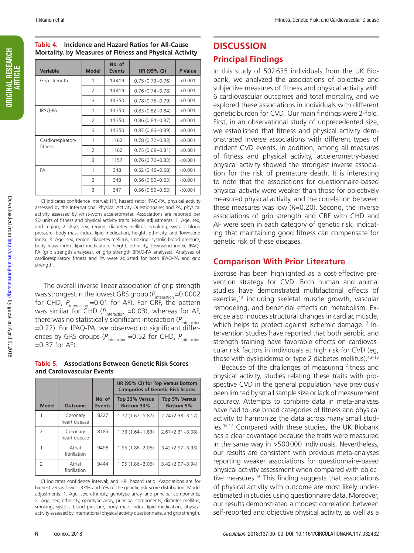# ORIGINAL RESEARCH ORIGINAL RESEARCH<br>ARTICLE

# Downloaded from http://circ.ahajournals.org/ by guest on April 9, 2018 Downloaded from <http://circ.ahajournals.org/> by guest on April 9, 2018

# **Table 4. Incidence and Hazard Ratios for All-Cause Mortality, by Measures of Fitness and Physical Activity**

| <b>Variable</b>   | <b>Model</b>   | No. of<br><b>Events</b> | <b>HR (95% CI)</b>  | P Value |
|-------------------|----------------|-------------------------|---------------------|---------|
| Grip strength     | 1              | 14419                   | $0.75(0.73 - 0.76)$ | < 0.001 |
|                   | $\overline{2}$ | 14419                   | $0.76(0.74 - 0.78)$ | < 0.001 |
|                   | 3              | 14350                   | $0.78(0.76 - 0.79)$ | < 0.001 |
| IPAQ-PA           | 1              | 14350                   | $0.83(0.82 - 0.84)$ | < 0.001 |
|                   | $\overline{2}$ | 14350                   | $0.86(0.84 - 0.87)$ | < 0.001 |
|                   | 3              | 14350                   | $0.87(0.86 - 0.89)$ | < 0.001 |
| Cardiorespiratory | 1              | 1162                    | $0.78(0.72 - 0.83)$ | < 0.001 |
| fitness           | $\overline{2}$ | 1162                    | $0.75(0.69 - 0.81)$ | < 0.001 |
|                   | 3              | 1157                    | $0.76(0.70 - 0.83)$ | < 0.001 |
| PA                | 1              | 348                     | $0.52(0.46 - 0.58)$ | < 0.001 |
|                   | $\overline{2}$ | 348                     | $0.56(0.50 - 0.63)$ | < 0.001 |
|                   | 3              | 347                     | $0.56(0.50 - 0.63)$ | < 0.001 |

CI indicates confidence interval; HR, hazard ratio; IPAQ-PA, physical activity assessed by the International Physical Activity Questionnaire; and PA, physical activity assessed by wrist-worn accelerometer. Associations are reported per SD units of fitness and physical activity traits. Model adjustments: 1. Age, sex, and region; 2. Age, sex, region, diabetes mellitus, smoking, systolic blood pressure, body mass index, lipid medication, height, ethnicity, and Townsend index; 3. Age, sex, region, diabetes mellitus, smoking, systolic blood pressure, body mass index, lipid medication, height, ethnicity, Townsend index, IPAQ-PA (grip strength analyses), or grip strength (IPAQ-PA analyses). Analyses of cardiorespiratory fitness and PA were adjusted for both IPAQ-PA and grip strength.

The overall inverse linear association of grip strength was strongest in the lowest GRS group ( $P_{\text{interaction}}$  =0.0002 for CHD,  $P_{\text{interaction}} = 0.01$  for AF). For CRF, the pattern was similar for CHD ( $P_{\text{interaction}}$  =0.03), whereas for AF, there was no statistically significant interaction (P<sub>interaction</sub> =0.22). For IPAQ-PA, we observed no significant differences by GRS groups ( $P<sub>interaction</sub> = 0.52$  for CHD,  $P<sub>interaction</sub>$  $=0.37$  for AF).

**Table 5. Associations Between Genetic Risk Scores and Cardiovascular Events**

|                          |                           |                         | HR (95% CI) for Top Versus Bottom<br><b>Categories of Genetic Risk Scores</b> |                                   |  |  |
|--------------------------|---------------------------|-------------------------|-------------------------------------------------------------------------------|-----------------------------------|--|--|
| <b>Model</b>             | Outcome                   | No. of<br><b>Events</b> | Top 33% Versus<br>Bottom 33%                                                  | Top 5% Versus<br><b>Bottom 5%</b> |  |  |
|                          | Coronary<br>heart disease | 8227                    | $1.77(1.67 - 1.87)$                                                           | $2.74(2.38 - 3.17)$               |  |  |
| $\mathcal{P}$            | Coronary<br>heart disease | 8185                    | $1.73(1.64 - 1.83)$                                                           | $2.67(2.31 - 3.08)$               |  |  |
|                          | Atrial<br>fibrillation    | 9498                    | $1.95(1.86 - 2.06)$                                                           | $3.42(2.97 - 3.93)$               |  |  |
| $\overline{\phantom{a}}$ | Atrial<br>fibrillation    | 9444                    | $1.95(1.86 - 2.06)$                                                           | $3.42(2.97 - 3.94)$               |  |  |

CI indicates confidence interval; and HR, hazard ratio. Associations are for highest versus lowest 33% and 5% of the genetic risk score distribution. Model adjustments: 1. Age, sex, ethnicity, genotype array, and principal components; 2. Age, sex, ethnicity, genotype array, principal components, diabetes mellitus, smoking, systolic blood pressure, body mass index, lipid medication, physical activity assessed by international physical activity questionnaire, and grip strength.

# **DISCUSSION**

# **Principal Findings**

In this study of 502635 individuals from the UK Biobank, we analyzed the associations of objective and subjective measures of fitness and physical activity with 6 cardiovascular outcomes and total mortality, and we explored these associations in individuals with different genetic burden for CVD. Our main findings were 2-fold. First, in an observational study of unprecedented size, we established that fitness and physical activity demonstrated inverse associations with different types of incident CVD events. In addition, among all measures of fitness and physical activity, accelerometry-based physical activity showed the strongest inverse association for the risk of premature death. It is interesting to note that the associations for questionnaire-based physical activity were weaker than those for objectively measured physical activity, and the correlation between these measures was low (*R*=0.20). Second, the inverse associations of grip strength and CRF with CHD and AF were seen in each category of genetic risk, indicating that maintaining good fitness can compensate for genetic risk of these diseases.

# **Comparison With Prior Literature**

Exercise has been highlighted as a cost-effective prevention strategy for CVD. Both human and animal studies have demonstrated multifactorial effects of exercise,<sup>12</sup> including skeletal muscle growth, vascular remodeling, and beneficial effects on metabolism. Exercise also induces structural changes in cardiac muscle, which helps to protect against ischemic damage.<sup>12</sup> Intervention studies have reported that both aerobic and strength training have favorable effects on cardiovascular risk factors in individuals at high risk for CVD (eg, those with dyslipidemia or type 2 diabetes mellitus).13–15

Because of the challenges of measuring fitness and physical activity, studies relating these traits with prospective CVD in the general population have previously been limited by small sample size or lack of measurement accuracy. Attempts to combine data in meta-analyses have had to use broad categories of fitness and physical activity to harmonize the data across many small studies.16,17 Compared with these studies, the UK Biobank has a clear advantage because the traits were measured in the same way in >500000 individuals. Nevertheless, our results are consistent with previous meta-analyses reporting weaker associations for questionnaire-based physical activity assessment when compared with objective measures.<sup>16</sup> This finding suggests that associations of physical activity with outcome are most likely underestimated in studies using questionnaire data. Moreover, our results demonstrated a modest correlation between self-reported and objective physical activity, as well as a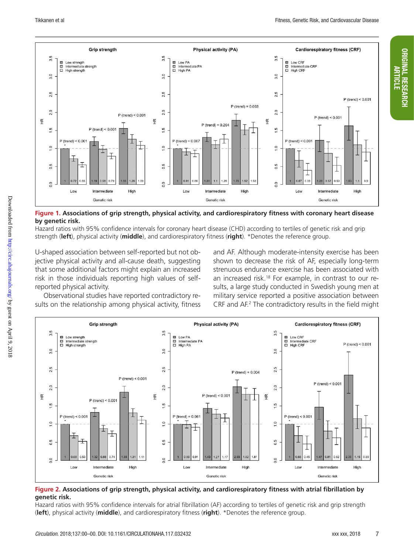ORIGINAL RESEARCH ARTICLE

**ORIGINAL RESEARCH** 



**Figure 1. Associations of grip strength, physical activity, and cardiorespiratory fitness with coronary heart disease by genetic risk.**

Hazard ratios with 95% confidence intervals for coronary heart disease (CHD) according to tertiles of genetic risk and grip strength (**left**), physical activity (**middle**), and cardiorespiratory fitness (**right**). \*Denotes the reference group.

U-shaped association between self-reported but not objective physical activity and all-cause death, suggesting that some additional factors might explain an increased risk in those individuals reporting high values of selfreported physical activity.

and AF. Although moderate-intensity exercise has been shown to decrease the risk of AF, especially long-term strenuous endurance exercise has been associated with an increased risk.<sup>18</sup> For example, in contrast to our results, a large study conducted in Swedish young men at military service reported a positive association between CRF and AF.2 The contradictory results in the field might

Observational studies have reported contradictory results on the relationship among physical activity, fitness



# **Figure 2. Associations of grip strength, physical activity, and cardiorespiratory fitness with atrial fibrillation by genetic risk.**

Hazard ratios with 95% confidence intervals for atrial fibrillation (AF) according to tertiles of genetic risk and grip strength (**left**), physical activity (**middle**), and cardiorespiratory fitness (**right**). \*Denotes the reference group.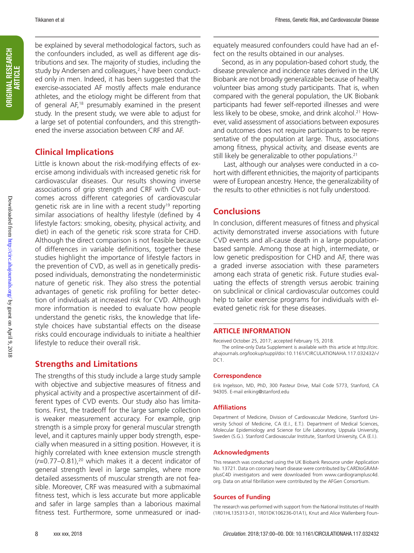be explained by several methodological factors, such as the confounders included, as well as different age distributions and sex. The majority of studies, including the study by Andersen and colleagues,<sup>2</sup> have been conducted only in men. Indeed, it has been suggested that the exercise-associated AF mostly affects male endurance athletes, and the etiology might be different from that of general AF,<sup>18</sup> presumably examined in the present study. In the present study, we were able to adjust for a large set of potential confounders, and this strengthened the inverse association between CRF and AF.

# **Clinical Implications**

Little is known about the risk-modifying effects of exercise among individuals with increased genetic risk for cardiovascular diseases. Our results showing inverse associations of grip strength and CRF with CVD outcomes across different categories of cardiovascular genetic risk are in line with a recent study<sup>19</sup> reporting similar associations of healthy lifestyle (defined by 4 lifestyle factors: smoking, obesity, physical activity, and diet) in each of the genetic risk score strata for CHD. Although the direct comparison is not feasible because of differences in variable definitions, together these studies highlight the importance of lifestyle factors in the prevention of CVD, as well as in genetically predisposed individuals, demonstrating the nondeterministic nature of genetic risk. They also stress the potential advantages of genetic risk profiling for better detection of individuals at increased risk for CVD. Although more information is needed to evaluate how people understand the genetic risks, the knowledge that lifestyle choices have substantial effects on the disease risks could encourage individuals to initiate a healthier lifestyle to reduce their overall risk.

# **Strengths and Limitations**

The strengths of this study include a large study sample with objective and subjective measures of fitness and physical activity and a prospective ascertainment of different types of CVD events. Our study also has limitations. First, the tradeoff for the large sample collection is weaker measurement accuracy. For example, grip strength is a simple proxy for general muscular strength level, and it captures mainly upper body strength, especially when measured in a sitting position. However, it is highly correlated with knee extension muscle strength (*r*=0.77–0.81),20 which makes it a decent indicator of general strength level in large samples, where more detailed assessments of muscular strength are not feasible. Moreover, CRF was measured with a submaximal fitness test, which is less accurate but more applicable and safer in large samples than a laborious maximal fitness test. Furthermore, some unmeasured or inadequately measured confounders could have had an effect on the results obtained in our analyses.

Second, as in any population-based cohort study, the disease prevalence and incidence rates derived in the UK Biobank are not broadly generalizable because of healthy volunteer bias among study participants. That is, when compared with the general population, the UK Biobank participants had fewer self-reported illnesses and were less likely to be obese, smoke, and drink alcohol.<sup>21</sup> However, valid assessment of associations between exposures and outcomes does not require participants to be representative of the population at large. Thus, associations among fitness, physical activity, and disease events are still likely be generalizable to other populations.<sup>21</sup>

 Last, although our analyses were conducted in a cohort with different ethnicities, the majority of participants were of European ancestry. Hence, the generalizability of the results to other ethnicities is not fully understood.

# **Conclusions**

In conclusion, different measures of fitness and physical activity demonstrated inverse associations with future CVD events and all-cause death in a large populationbased sample. Among those at high, intermediate, or low genetic predisposition for CHD and AF, there was a graded inverse association with these parameters among each strata of genetic risk. Future studies evaluating the effects of strength versus aerobic training on subclinical or clinical cardiovascular outcomes could help to tailor exercise programs for individuals with elevated genetic risk for these diseases.

## **ARTICLE INFORMATION**

Received October 25, 2017; accepted February 15, 2018.

The online-only Data Supplement is available with this article at http://circ. ahajournals.org/lookup/suppl/doi:10.1161/CIRCULATIONAHA.117.032432/-/  $DC1$ 

#### **Correspondence**

Erik Ingelsson, MD, PhD, 300 Pasteur Drive, Mail Code 5773, Stanford, CA 94305. E-mail [eriking@stanford.edu](mailto:eriking@stanford.edu)

## **Affiliations**

Department of Medicine, Division of Cardiovascular Medicine, Stanford University School of Medicine, CA (E.I., E.T.). Department of Medical Sciences, Molecular Epidemiology and Science for Life Laboratory, Uppsala University, Sweden (S.G.). Stanford Cardiovascular Institute, Stanford University, CA (E.I.).

#### **Acknowledgments**

This research was conducted using the UK Biobank Resource under Application No. 13721. Data on coronary heart disease were contributed by CARDIoGRAMplusC4D investigators and were downloaded from www.cardiogramplusc4d. org. Data on atrial fibrillation were contributed by the AFGen Consortium.

## **Sources of Funding**

The research was performed with support from the National Institutes of Health (1R01HL135313-01, 1R01DK106236-01A1), Knut and Alice Wallenberg Foun-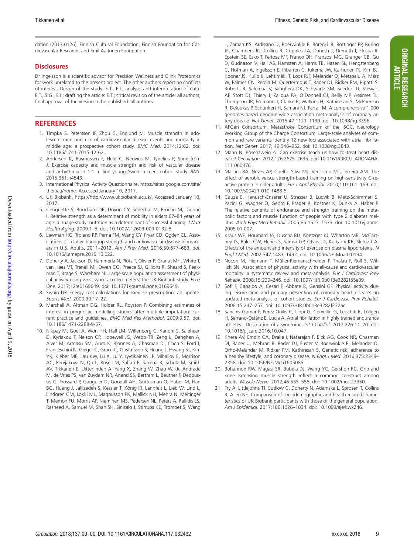ORIGINAL RESEARCH ARTICLE

**ORIGINAL RESEARCH** 

dation (2013.0126), Finnish Cultural Foundation, Finnish Foundation for Cardiovascular Research, and Emil Aaltonen Foundation.

#### **Disclosures**

Dr Ingelsson is a scientific advisor for Precision Wellness and Olink Proteomics for work unrelated to the present project. The other authors report no conflicts of interest. Design of the study: E.T., E.I.; analysis and interpretation of data: E.T., S.G., E.I.; drafting the article: E.T.; critical revision of the article: all authors; final approval of the version to be published: all authors.

#### **REFERENCES**

- 1. Timpka S, Petersson IF, Zhou C, Englund M. Muscle strength in adolescent men and risk of cardiovascular disease events and mortality in middle age: a prospective cohort study. *BMC Med*. 2014;12:62. doi: 10.1186/1741-7015-12-62.
- 2. Andersen K, Rasmussen F, Held C, Neovius M, Tynelius P, Sundström J. Exercise capacity and muscle strength and risk of vascular disease and arrhythmia in 1.1 million young Swedish men: cohort study. *BMJ*. 2015;351:h4543.
- 3. International Physical Activity Questionnaire. https://sites.google.com/site/ theipaq/home. Accessed January 10, 2017.
- 4. UK Biobank. https://http://www.ukbiobank.ac.uk/. Accessed January 10, 2017.
- 5. Choquette S, Bouchard DR, Doyon CY, Sénéchal M, Brochu M, Dionne I. Relative strength as a determinant of mobility in elders 67–84 years of age: a nuage study: nutrition as a determinant of successful aging. *J Nutr Health Aging.* 2009:1–6. doi: 10.1007/s12603-009-0132-8.
- 6. Lawman HG, Troiano RP, Perna FM, Wang CY, Fryar CD, Ogden CL. Associations of relative handgrip strength and cardiovascular disease biomarkers in U.S. Adults, 2011–2012. *Am J Prev Med*. 2016;50:677–683. doi: 10.1016/j.amepre.2015.10.022.
- 7. Doherty A, Jackson D, Hammerla N, Plötz T, Olivier P, Granat MH, White T, van Hees VT, Trenell MI, Owen CG, Preece SJ, Gillions R, Sheard S, Peakman T, Brage S, Wareham NJ. Large scale population assessment of physical activity using wrist worn accelerometers: the UK Biobank study. *PLoS One*. 2017;12:e0169649. doi: 10.1371/journal.pone.0169649.
- 8. Swain DP. Energy cost calculations for exercise prescription: an update. *Sports Med*. 2000;30:17–22.
- 9. Marshall A, Altman DG, Holder RL, Royston P. Combining estimates of interest in prognostic modelling studies after multiple imputation: current practice and guidelines. *BMC Med Res Methodol*. 2009;9:57. doi: 10.1186/1471-2288-9-57.
- 10. Nikpay M, Goel A, Won HH, Hall LM, Willenborg C, Kanoni S, Saleheen D, Kyriakou T, Nelson CP, Hopewell JC, Webb TR, Zeng L, Dehghan A, Alver M, Armasu SM, Auro K, Bjonnes A, Chasman DI, Chen S, Ford I, Franceschini N, Gieger C, Grace C, Gustafsson S, Huang J, Hwang SJ, Kim YK, Kleber ME, Lau KW, Lu X, Lu Y, Lyytikäinen LP, Mihailov E, Morrison AC, Pervjakova N, Qu L, Rose LM, Salfati E, Saxena R, Scholz M, Smith AV, Tikkanen E, Uitterlinden A, Yang X, Zhang W, Zhao W, de Andrade M, de Vries PS, van Zuydam NR, Anand SS, Bertram L, Beutner F, Dedoussis G, Frossard P, Gauguier D, Goodall AH, Gottesman O, Haber M, Han BG, Huang J, Jalilzadeh S, Kessler T, König IR, Lannfelt L, Lieb W, Lind L, Lindgren CM, Lokki ML, Magnusson PK, Mallick NH, Mehra N, Meitinger T, Memon FU, Morris AP, Nieminen MS, Pedersen NL, Peters A, Rallidis LS, Rasheed A, Samuel M, Shah SH, Sinisalo J, Stirrups KE, Trompet S, Wang

L, Zaman KS, Ardissino D, Boerwinkle E, Borecki IB, Bottinger EP, Buring JE, Chambers JC, Collins R, Cupples LA, Danesh J, Demuth I, Elosua R, Epstein SE, Esko T, Feitosa MF, Franco OH, Franzosi MG, Granger CB, Gu D, Gudnason V, Hall AS, Hamsten A, Harris TB, Hazen SL, Hengstenberg C, Hofman A, Ingelsson E, Iribarren C, Jukema JW, Karhunen PJ, Kim BJ, Kooner JS, Kullo IJ, Lehtimäki T, Loos RJF, Melander O, Metspalu A, März W, Palmer CN, Perola M, Quertermous T, Rader DJ, Ridker PM, Ripatti S, Roberts R, Salomaa V, Sanghera DK, Schwartz SM, Seedorf U, Stewart AF, Stott DJ, Thiery J, Zalloua PA, O'Donnell CJ, Reilly MP, Assimes TL, Thompson JR, Erdmann J, Clarke R, Watkins H, Kathiresan S, McPherson R, Deloukas P, Schunkert H, Samani NJ, Farrall M. A comprehensive 1,000 genomes-based genome-wide association meta-analysis of coronary artery disease. *Nat Genet*. 2015;47:1121–1130. doi: 10.1038/ng.3396.

- 11. AFGen Consortium, Metastroke Consortium of the ISGC, Neurology Working Group of the Charge Consortium. Large-scale analyses of common and rare variants identify 12 new loci associated with atrial fibrillation. *Nat Genet*. 2017; 49:946–952. doi: 10.1038/ng.3843.
- 12. Mann N, Rosenzweig A. Can exercise teach us how to treat heart disease? *Circulation*. 2012;126:2625–2635. doi: 10.1161/CIRCULATIONAHA. 111.060376.
- 13. Martins RA, Neves AP, Coelho-Silva MJ, Veríssimo MT, Teixeira AM. The effect of aerobic versus strength-based training on high-sensitivity C-reactive protein in older adults. *Eur J Appl Physiol*. 2010;110:161–169. doi: 10.1007/s00421-010-1488-5.
- 14. Cauza E, Hanusch-Enserer U, Strasser B, Ludvik B, Metz-Schimmerl S, Pacini G, Wagner O, Georg P, Prager R, Kostner K, Dunky A, Haber P. The relative benefits of endurance and strength training on the metabolic factors and muscle function of people with type 2 diabetes mellitus. *Arch Phys Med Rehabil*. 2005;86:1527–1533. doi: 10.1016/j.apmr. 2005.01.007.
- 15. Kraus WE, Houmard JA, Duscha BD, Knetzger KJ, Wharton MB, McCartney JS, Bales CW, Henes S, Samsa GP, Otvos JD, Kulkarni KR, Slentz CA. Effects of the amount and intensity of exercise on plasma lipoproteins. *N Engl J Med*. 2002;347:1483–1492. doi: 10.1056/NEJMoa020194.
- 16. Nocon M, Hiemann T, Müller-Riemenschneider F, Thalau F, Roll S, Willich SN. Association of physical activity with all-cause and cardiovascular mortality: a systematic review and meta-analysis. *Eur J Cardiovasc Prev Rehabil*. 2008;15:239–246. doi: 10.1097/HJR.0b013e3282f55e09.
- 17. Sofi F, Capalbo A, Cesari F, Abbate R, Gensini GF. Physical activity during leisure time and primary prevention of coronary heart disease: an updated meta-analysis of cohort studies. *Eur J Cardiovasc Prev Rehabil*. 2008;15:247–257. doi: 10.1097/HJR.0b013e3282f232ac.
- 18. Sanchis-Gomar F, Perez-Quilis C, Lippi G, Cervellin G, Leischik R, Löllgen H, Serrano-Ostáriz E, Lucia A. Atrial fibrillation in highly trained endurance athletes - Description of a syndrome. *Int J Cardiol*. 2017;226:11–20. doi: 10.1016/j.ijcard.2016.10.047.
- 19. Khera AV, Emdin CA, Drake I, Natarajan P, Bick AG, Cook NR, Chasman DI, Baber U, Mehran R, Rader DJ, Fuster V, Boerwinkle E, Melander O, Orho-Melander M, Ridker PM, Kathiresan S. Genetic risk, adherence to a healthy lifestyle, and coronary disease. *N Engl J Med*. 2016;375:2349– 2358. doi: 10.1056/NEJMoa1605086.
- 20. Bohannon RW, Magasi SR, Bubela DJ, Wang YC, Gershon RC. Grip and knee extension muscle strength reflect a common construct among adults. *Muscle Nerve*. 2012;46:555–558. doi: 10.1002/mus.23350.
- 21. Fry A, Littlejohns TJ, Sudlow C, Doherty N, Adamska L, Sprosen T, Collins R, Allen NE. Comparison of sociodemographic and health-related characteristics of UK Biobank participants with those of the general population. *Am J Epidemiol*. 2017;186:1026–1034. doi: 10.1093/aje/kwx246.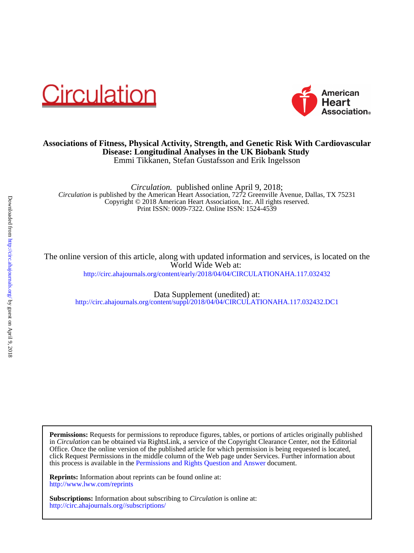



# **Disease: Longitudinal Analyses in the UK Biobank Study Associations of Fitness, Physical Activity, Strength, and Genetic Risk With Cardiovascular**

Emmi Tikkanen, Stefan Gustafsson and Erik Ingelsson

Print ISSN: 0009-7322. Online ISSN: 1524-4539 Copyright © 2018 American Heart Association, Inc. All rights reserved. *Circulation* is published by the American Heart Association, 7272 Greenville Avenue, Dallas, TX 75231 *Circulation.* published online April 9, 2018;

<http://circ.ahajournals.org/content/early/2018/04/04/CIRCULATIONAHA.117.032432> World Wide Web at: The online version of this article, along with updated information and services, is located on the

<http://circ.ahajournals.org/content/suppl/2018/04/04/CIRCULATIONAHA.117.032432.DC1> Data Supplement (unedited) at:

this process is available in the [Permissions and Rights Question and Answer d](http://www.ahajournals.org/site/rights/)ocument. click Request Permissions in the middle column of the Web page under Services. Further information about Office. Once the online version of the published article for which permission is being requested is located, in *Circulation* can be obtained via RightsLink, a service of the Copyright Clearance Center, not the Editorial **Permissions:** Requests for permissions to reproduce figures, tables, or portions of articles originally published

<http://www.lww.com/reprints> **Reprints:** Information about reprints can be found online at:

<http://circ.ahajournals.org//subscriptions/> **Subscriptions:** Information about subscribing to *Circulation* is online at: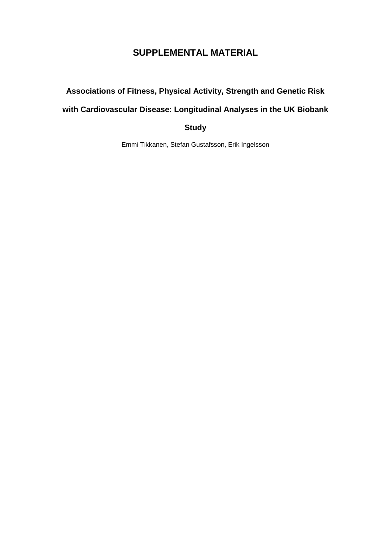# **SUPPLEMENTAL MATERIAL**

**Associations of Fitness, Physical Activity, Strength and Genetic Risk** 

**with Cardiovascular Disease: Longitudinal Analyses in the UK Biobank** 

**Study**

Emmi Tikkanen, Stefan Gustafsson, Erik Ingelsson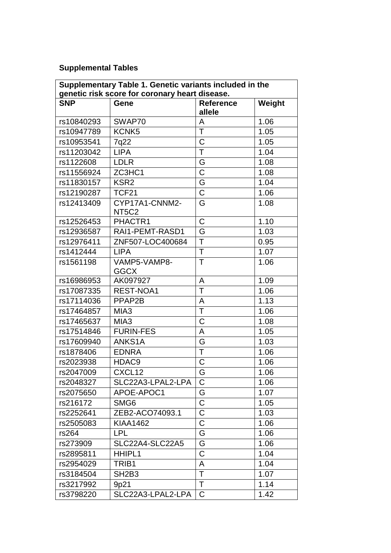# **Supplemental Tables**

| Supplementary Table 1. Genetic variants included in the |                                                  |                            |        |  |  |  |
|---------------------------------------------------------|--------------------------------------------------|----------------------------|--------|--|--|--|
| genetic risk score for coronary heart disease.          |                                                  |                            |        |  |  |  |
| <b>SNP</b>                                              | Gene                                             | <b>Reference</b><br>allele | Weight |  |  |  |
| rs10840293                                              | SWAP70                                           | A                          | 1.06   |  |  |  |
| rs10947789                                              | KCNK <sub>5</sub>                                | T                          | 1.05   |  |  |  |
| rs10953541                                              | 7q22                                             | $\mathsf C$                | 1.05   |  |  |  |
| rs11203042                                              | <b>LIPA</b>                                      | T                          | 1.04   |  |  |  |
| rs1122608                                               | <b>LDLR</b>                                      | G                          | 1.08   |  |  |  |
| rs11556924                                              | ZC3HC1                                           | $\overline{C}$             | 1.08   |  |  |  |
| rs11830157                                              | KSR <sub>2</sub>                                 | G                          | 1.04   |  |  |  |
| rs12190287                                              | TCF21                                            | $\mathsf C$                | 1.06   |  |  |  |
| rs12413409                                              | CYP17A1-CNNM2-<br>NT <sub>5</sub> C <sub>2</sub> | G                          | 1.08   |  |  |  |
| rs12526453                                              | PHACTR1                                          | C                          | 1.10   |  |  |  |
| rs12936587                                              | RAI1-PEMT-RASD1                                  | G                          | 1.03   |  |  |  |
| rs12976411                                              | ZNF507-LOC400684                                 | $\mathsf{T}$               | 0.95   |  |  |  |
| rs1412444                                               | <b>LIPA</b>                                      | T                          | 1.07   |  |  |  |
| rs1561198                                               | VAMP5-VAMP8-<br><b>GGCX</b>                      |                            | 1.06   |  |  |  |
| rs16986953                                              | AK097927                                         | A                          | 1.09   |  |  |  |
| rs17087335                                              | <b>REST-NOA1</b>                                 | Τ                          | 1.06   |  |  |  |
| rs17114036                                              | PPAP2B                                           | A                          | 1.13   |  |  |  |
| rs17464857                                              | MIA3                                             | T                          | 1.06   |  |  |  |
| rs17465637                                              | MIA3                                             | C                          | 1.08   |  |  |  |
| rs17514846                                              | <b>FURIN-FES</b>                                 | A                          | 1.05   |  |  |  |
| rs17609940                                              | ANKS1A                                           | G                          | 1.03   |  |  |  |
| rs1878406                                               | <b>EDNRA</b>                                     | T                          | 1.06   |  |  |  |
| rs2023938                                               | HDAC <sub>9</sub>                                | $\mathsf C$                | 1.06   |  |  |  |
| rs2047009                                               | CXCL12                                           | G                          | 1.06   |  |  |  |
| rs2048327                                               | SLC22A3-LPAL2-LPA                                | C                          | 1.06   |  |  |  |
| rs2075650                                               | APOE-APOC1                                       | G                          | 1.07   |  |  |  |
| rs216172                                                | SMG <sub>6</sub>                                 | С                          | 1.05   |  |  |  |
| rs2252641                                               | ZEB2-ACO74093.1                                  | C                          | 1.03   |  |  |  |
| rs2505083                                               | <b>KIAA1462</b>                                  | $\mathsf C$                | 1.06   |  |  |  |
| rs264                                                   | <b>LPL</b>                                       | G                          | 1.06   |  |  |  |
| rs273909                                                | SLC22A4-SLC22A5                                  | G                          | 1.06   |  |  |  |
| rs2895811                                               | HHIPL1                                           | C                          | 1.04   |  |  |  |
| rs2954029                                               | TRIB1                                            | A                          | 1.04   |  |  |  |
| rs3184504                                               | SH <sub>2</sub> B <sub>3</sub>                   | Τ                          | 1.07   |  |  |  |
| rs3217992                                               | 9p21                                             | T.                         | 1.14   |  |  |  |
| rs3798220                                               | SLC22A3-LPAL2-LPA                                | $\mathsf{C}$               | 1.42   |  |  |  |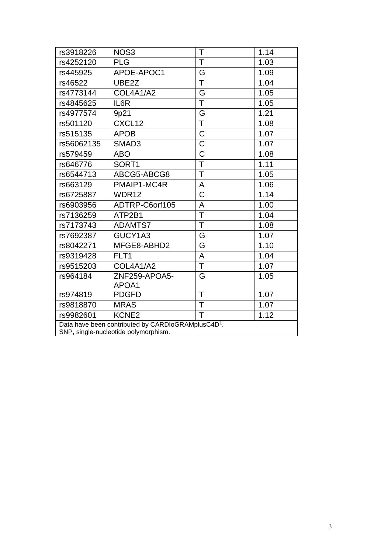| rs3918226                                                                                              | NOS <sub>3</sub>  | $\mathsf T$             | 1.14 |  |
|--------------------------------------------------------------------------------------------------------|-------------------|-------------------------|------|--|
| rs4252120                                                                                              | <b>PLG</b>        | T                       | 1.03 |  |
| rs445925                                                                                               | APOE-APOC1        | G                       | 1.09 |  |
| rs46522                                                                                                | UBE2Z             | T                       | 1.04 |  |
| rs4773144                                                                                              | COL4A1/A2         | G                       | 1.05 |  |
| rs4845625                                                                                              | IL <sub>6</sub> R | T                       | 1.05 |  |
| rs4977574                                                                                              | 9p21              | G                       | 1.21 |  |
| rs501120                                                                                               | CXCL12            | T                       | 1.08 |  |
| rs515135                                                                                               | <b>APOB</b>       | $\overline{C}$          | 1.07 |  |
| rs56062135                                                                                             | SMAD3             | $\overline{C}$          | 1.07 |  |
| rs579459                                                                                               | <b>ABO</b>        | $\mathsf C$             | 1.08 |  |
| rs646776                                                                                               | SORT <sub>1</sub> | $\overline{\mathsf{T}}$ | 1.11 |  |
| rs6544713                                                                                              | ABCG5-ABCG8       | $\overline{\mathsf{T}}$ | 1.05 |  |
| rs663129                                                                                               | PMAIP1-MC4R       | A                       | 1.06 |  |
| rs6725887                                                                                              | WDR12             | C                       | 1.14 |  |
| rs6903956                                                                                              | ADTRP-C6orf105    | A                       | 1.00 |  |
| rs7136259                                                                                              | ATP2B1            | T                       | 1.04 |  |
| rs7173743                                                                                              | ADAMTS7           | Ŧ                       | 1.08 |  |
| rs7692387                                                                                              | GUCY1A3           | G                       | 1.07 |  |
| rs8042271                                                                                              | MFGE8-ABHD2       | G                       | 1.10 |  |
| rs9319428                                                                                              | FLT <sub>1</sub>  | A                       | 1.04 |  |
| rs9515203                                                                                              | COL4A1/A2         | $\overline{\top}$       | 1.07 |  |
| rs964184                                                                                               | ZNF259-APOA5-     | G                       | 1.05 |  |
|                                                                                                        | APOA1             |                         |      |  |
| rs974819                                                                                               | <b>PDGFD</b>      | $\mathsf{T}$            | 1.07 |  |
| rs9818870                                                                                              | <b>MRAS</b>       | $\overline{\top}$       | 1.07 |  |
| rs9982601                                                                                              | KCNE2             | $\mathsf{T}$            | 1.12 |  |
| Data have been contributed by CARDIoGRAMplusC4D <sup>1</sup> .<br>SNP, single-nucleotide polymorphism. |                   |                         |      |  |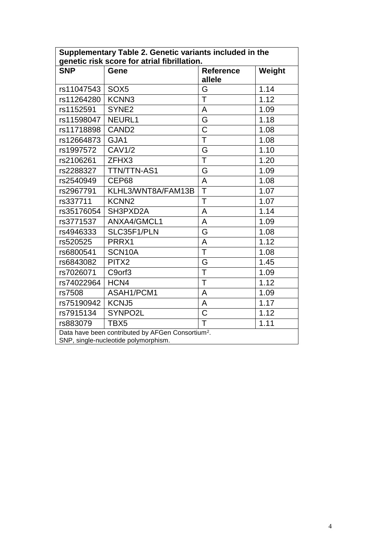| Supplementary Table 2. Genetic variants included in the                                               |                                             |                         |        |  |  |  |
|-------------------------------------------------------------------------------------------------------|---------------------------------------------|-------------------------|--------|--|--|--|
|                                                                                                       | genetic risk score for atrial fibrillation. |                         |        |  |  |  |
| <b>SNP</b>                                                                                            | Gene                                        | Reference<br>allele     | Weight |  |  |  |
| rs11047543                                                                                            | SOX <sub>5</sub>                            | G                       | 1.14   |  |  |  |
| rs11264280                                                                                            | KCNN3                                       | Τ                       | 1.12   |  |  |  |
| rs1152591                                                                                             | SYNE <sub>2</sub>                           | A                       | 1.09   |  |  |  |
| rs11598047                                                                                            | NEURL1                                      | G                       | 1.18   |  |  |  |
| rs11718898                                                                                            | CAND <sub>2</sub>                           | $\overline{\text{C}}$   | 1.08   |  |  |  |
| rs12664873                                                                                            | GJA1                                        | T                       | 1.08   |  |  |  |
| rs1997572                                                                                             | <b>CAV1/2</b>                               | G                       | 1.10   |  |  |  |
| rs2106261                                                                                             | ZFHX3                                       | T                       | 1.20   |  |  |  |
| rs2288327                                                                                             | <b>TTN/TTN-AS1</b>                          | G                       | 1.09   |  |  |  |
| rs2540949                                                                                             | CEP68                                       | A                       | 1.08   |  |  |  |
| rs2967791                                                                                             | KLHL3/WNT8A/FAM13B                          | $\overline{\mathsf{T}}$ | 1.07   |  |  |  |
| rs337711                                                                                              | KCNN <sub>2</sub>                           | T                       | 1.07   |  |  |  |
| rs35176054                                                                                            | SH3PXD2A                                    | A                       | 1.14   |  |  |  |
| rs3771537                                                                                             | ANXA4/GMCL1                                 | A                       | 1.09   |  |  |  |
| rs4946333                                                                                             | SLC35F1/PLN                                 | G                       | 1.08   |  |  |  |
| rs520525                                                                                              | PRRX1                                       | A                       | 1.12   |  |  |  |
| rs6800541                                                                                             | SCN10A                                      | T                       | 1.08   |  |  |  |
| rs6843082                                                                                             | PITX <sub>2</sub>                           | G                       | 1.45   |  |  |  |
| rs7026071                                                                                             | C9orf3                                      | $\overline{\mathsf{T}}$ | 1.09   |  |  |  |
| rs74022964                                                                                            | HCN4                                        | T                       | 1.12   |  |  |  |
| rs7508                                                                                                | ASAH1/PCM1                                  | A                       | 1.09   |  |  |  |
| rs75190942                                                                                            | KCNJ5                                       | A                       | 1.17   |  |  |  |
| rs7915134                                                                                             | SYNPO2L                                     | C                       | 1.12   |  |  |  |
| rs883079                                                                                              | TBX5                                        | $\overline{\top}$       | 1.11   |  |  |  |
| Data have been contributed by AFGen Consortium <sup>2</sup> .<br>SNP, single-nucleotide polymorphism. |                                             |                         |        |  |  |  |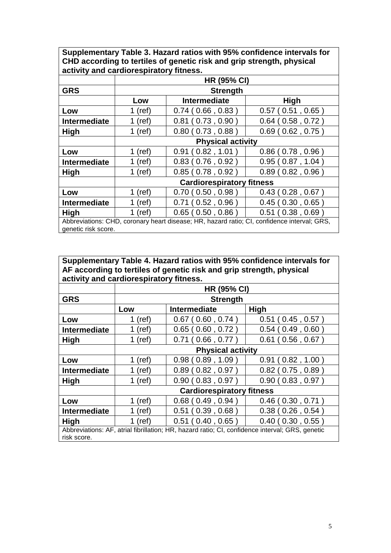**Supplementary Table 3. Hazard ratios with 95% confidence intervals for CHD according to tertiles of genetic risk and grip strength, physical activity and cardiorespiratory fitness.** 

|                                                                                                                    | <b>HR (95% CI)</b>       |                                  |                            |  |  |  |  |
|--------------------------------------------------------------------------------------------------------------------|--------------------------|----------------------------------|----------------------------|--|--|--|--|
| <b>GRS</b>                                                                                                         | <b>Strength</b>          |                                  |                            |  |  |  |  |
|                                                                                                                    | Low                      | <b>Intermediate</b>              | High                       |  |  |  |  |
| Low                                                                                                                | 1 (ref)                  | 0.74(0.66, 0.83)                 | 0.57(0.51, 0.65)           |  |  |  |  |
| Intermediate                                                                                                       | 1 (ref)                  | 0.81(0.73, 0.90)                 | $0.64$ ( $0.58$ , $0.72$ ) |  |  |  |  |
| <b>High</b>                                                                                                        | 1 (ref)                  | 0.80(0.73, 0.88)                 | 0.69(0.62, 0.75)           |  |  |  |  |
|                                                                                                                    | <b>Physical activity</b> |                                  |                            |  |  |  |  |
| Low                                                                                                                | (ref)                    | 0.91(0.82, 1.01)                 | $0.86$ ( $0.78$ , $0.96$ ) |  |  |  |  |
| <b>Intermediate</b>                                                                                                | (ref)                    | 0.83(0.76, 0.92)                 | 0.95(0.87, 1.04)           |  |  |  |  |
| <b>High</b>                                                                                                        | 1 (ref)                  | 0.85(0.78, 0.92)                 | 0.89(0.82, 0.96)           |  |  |  |  |
|                                                                                                                    |                          | <b>Cardiorespiratory fitness</b> |                            |  |  |  |  |
| Low                                                                                                                | 1 (ref)                  | 0.70(0.50, 0.98)                 | 0.43(0.28, 0.67)           |  |  |  |  |
| <b>Intermediate</b>                                                                                                | (ref)                    | 0.71(0.52, 0.96)                 | 0.45(0.30, 0.65)           |  |  |  |  |
| <b>High</b>                                                                                                        | 1 (ref)                  | 0.65(0.50, 0.86)                 | 0.51(0.38, 0.69)           |  |  |  |  |
| Abbreviations: CHD, coronary heart disease; HR, hazard ratio; CI, confidence interval; GRS,<br>genetic risk score. |                          |                                  |                            |  |  |  |  |

**Supplementary Table 4. Hazard ratios with 95% confidence intervals for AF according to tertiles of genetic risk and grip strength, physical activity and cardiorespiratory fitness.** 

|                     | <b>HR (95% CI)</b>       |                                  |                                                                                                 |  |  |  |
|---------------------|--------------------------|----------------------------------|-------------------------------------------------------------------------------------------------|--|--|--|
| <b>GRS</b>          | <b>Strength</b>          |                                  |                                                                                                 |  |  |  |
|                     | Low                      | <b>Intermediate</b>              | High                                                                                            |  |  |  |
| Low                 | 1 (ref)                  | 0.67(0.60, 0.74)                 | 0.51(0.45, 0.57)                                                                                |  |  |  |
| <b>Intermediate</b> | (ref)                    | 0.65(0.60, 0.72)                 | 0.54(0.49, 0.60)                                                                                |  |  |  |
| <b>High</b>         | 1 (ref)                  | 0.71(0.66, 0.77)                 | 0.61(0.56, 0.67)                                                                                |  |  |  |
|                     | <b>Physical activity</b> |                                  |                                                                                                 |  |  |  |
| Low                 | 1 (ref)                  | 0.98(0.89, 1.09)                 | 0.91(0.82, 1.00)                                                                                |  |  |  |
| Intermediate        | 1 (ref)                  | 0.89(0.82, 0.97)                 | $0.82$ (0.75, 0.89)                                                                             |  |  |  |
| High                | 1 (ref)                  | 0.90(0.83, 0.97)                 | 0.90(0.83, 0.97)                                                                                |  |  |  |
|                     |                          | <b>Cardiorespiratory fitness</b> |                                                                                                 |  |  |  |
| Low                 | (ref)                    | 0.68(0.49, 0.94)                 | 0.46(0.30, 0.71)                                                                                |  |  |  |
| <b>Intermediate</b> | 1 (ref)                  | 0.51(0.39, 0.68)                 | 0.38(0.26, 0.54)                                                                                |  |  |  |
| High                | 1 (ref)                  | 0.51(0.40, 0.65)                 | $0.40$ ( $0.30$ , $0.55$ )                                                                      |  |  |  |
| risk score.         |                          |                                  | Abbreviations: AF, atrial fibrillation; HR, hazard ratio; CI, confidence interval; GRS, genetic |  |  |  |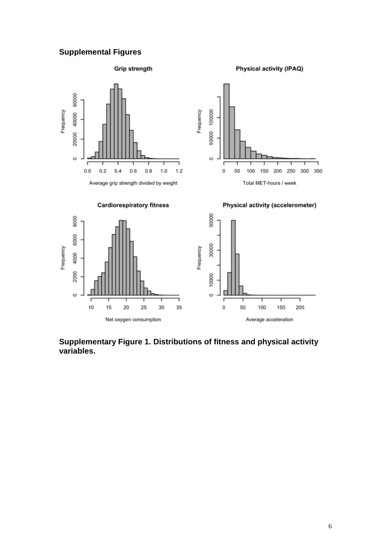# **Supplemental Figures**



**Supplementary Figure 1. Distributions of fitness and physical activity variables.**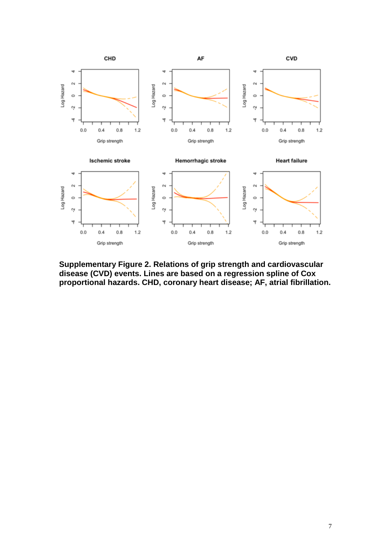

**Supplementary Figure 2. Relations of grip strength and cardiovascular disease (CVD) events. Lines are based on a regression spline of Cox proportional hazards. CHD, coronary heart disease; AF, atrial fibrillation.**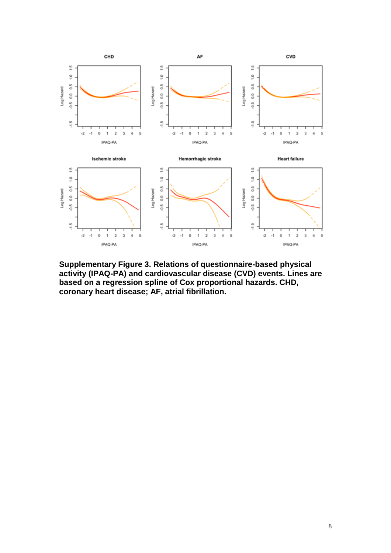

**Supplementary Figure 3. Relations of questionnaire-based physical activity (IPAQ-PA) and cardiovascular disease (CVD) events. Lines are based on a regression spline of Cox proportional hazards. CHD, coronary heart disease; AF, atrial fibrillation.**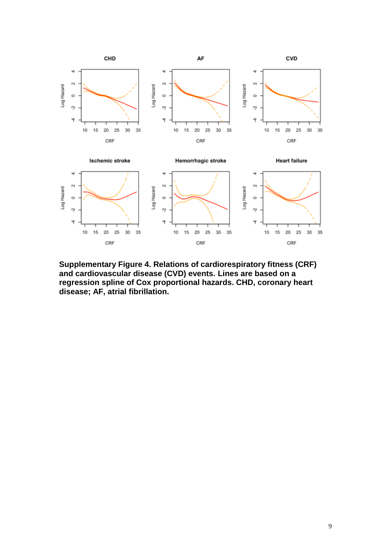

**Supplementary Figure 4. Relations of cardiorespiratory fitness (CRF) and cardiovascular disease (CVD) events. Lines are based on a regression spline of Cox proportional hazards. CHD, coronary heart disease; AF, atrial fibrillation.**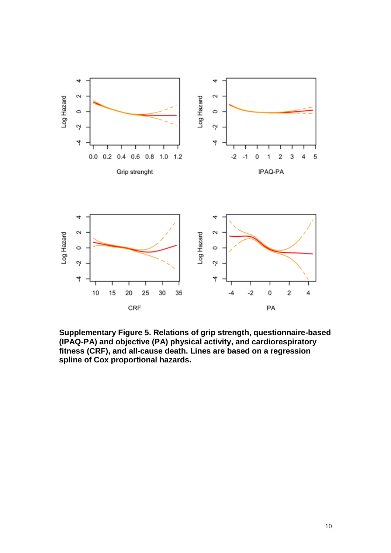

**Supplementary Figure 5. Relations of grip strength, questionnaire-based (IPAQ-PA) and objective (PA) physical activity, and cardiorespiratory fitness (CRF), and all-cause death. Lines are based on a regression spline of Cox proportional hazards.**